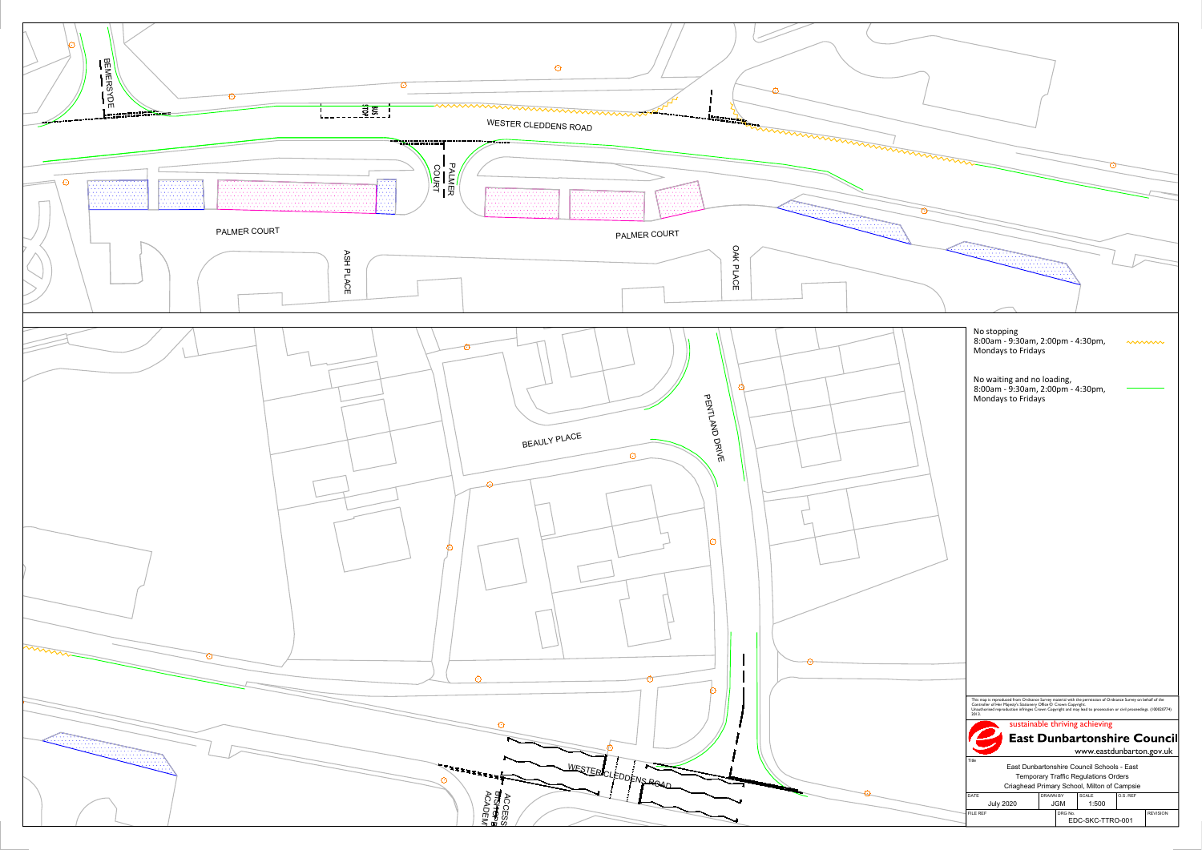

| No stopping<br>Mondays to Fridays                | 8:00am - 9:30am, 2:00pm - 4:30pm,                                                                                                                                                                                                                                                                     |          |                 |
|--------------------------------------------------|-------------------------------------------------------------------------------------------------------------------------------------------------------------------------------------------------------------------------------------------------------------------------------------------------------|----------|-----------------|
| No waiting and no loading,<br>Mondays to Fridays | 8:00am - 9:30am, 2:00pm - 4:30pm,                                                                                                                                                                                                                                                                     |          |                 |
|                                                  |                                                                                                                                                                                                                                                                                                       |          |                 |
|                                                  |                                                                                                                                                                                                                                                                                                       |          |                 |
|                                                  |                                                                                                                                                                                                                                                                                                       |          |                 |
|                                                  |                                                                                                                                                                                                                                                                                                       |          |                 |
|                                                  |                                                                                                                                                                                                                                                                                                       |          |                 |
|                                                  |                                                                                                                                                                                                                                                                                                       |          |                 |
|                                                  |                                                                                                                                                                                                                                                                                                       |          |                 |
|                                                  |                                                                                                                                                                                                                                                                                                       |          |                 |
| 2013.                                            | This map is reproduced from Ordnance Survey material with the permission of Ordnance Survey on behalf of the<br>Controller of Her Majesty's Stationery Office © Crown Copyright.<br>Unauthorised reproduction infringes Crown Copyright and may lead to prosecution or civil proceedings. (100020774) |          |                 |
|                                                  | sustainable thriving achieving<br><b>East Dunbartonshire Council</b><br>www.eastdunbarton.gov.uk                                                                                                                                                                                                      |          |                 |
| Title<br>DATE                                    | East Dunbartonshire Council Schools - East<br>Temporary Traffic Regulations Orders<br>Criaghead Primary School, Milton of Campsie<br><b>DRAWN BY</b><br>SCALE                                                                                                                                         | O.S. REF |                 |
| <b>July 2020</b><br>FILE REF                     | <b>JGM</b><br>1:500<br>DRG No.                                                                                                                                                                                                                                                                        |          | <b>REVISION</b> |
|                                                  | EDC-SKC-TTRO-001                                                                                                                                                                                                                                                                                      |          |                 |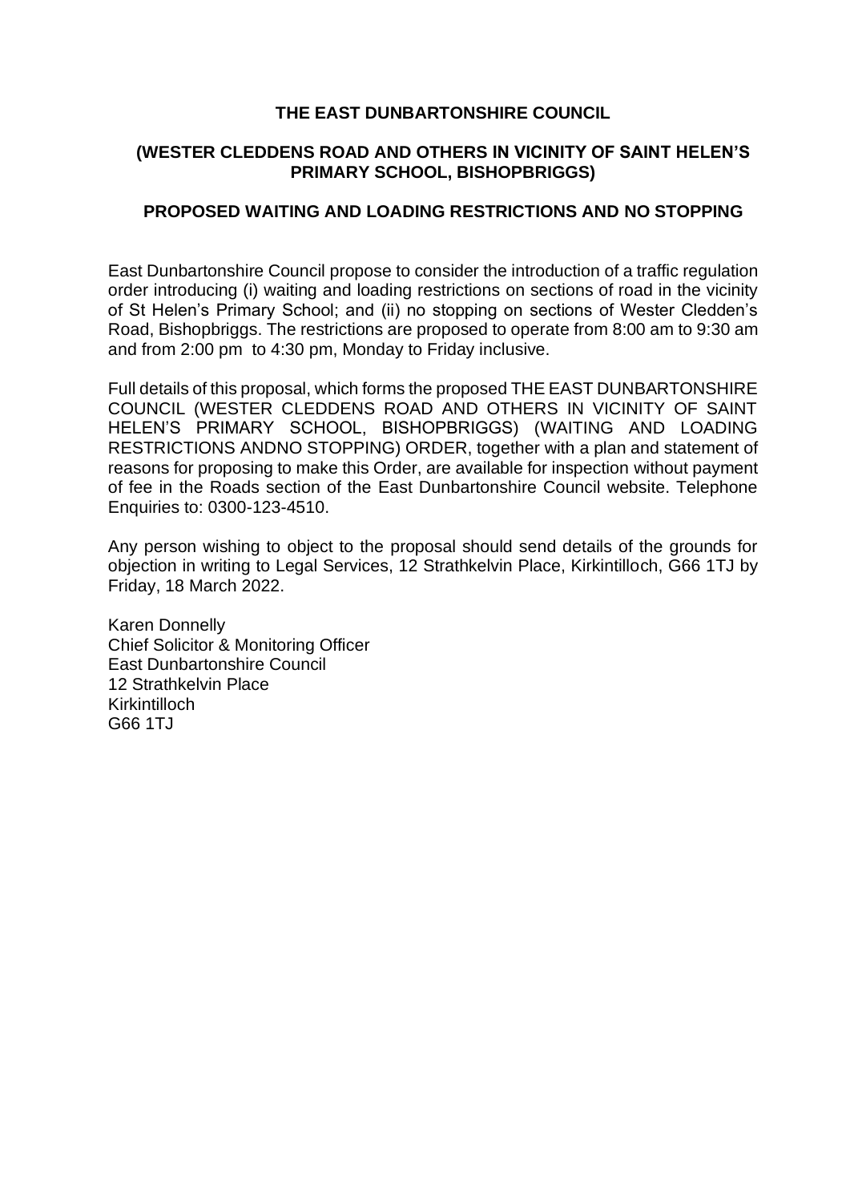### **THE EAST DUNBARTONSHIRE COUNCIL**

## **(WESTER CLEDDENS ROAD AND OTHERS IN VICINITY OF SAINT HELEN'S PRIMARY SCHOOL, BISHOPBRIGGS)**

#### **PROPOSED WAITING AND LOADING RESTRICTIONS AND NO STOPPING**

East Dunbartonshire Council propose to consider the introduction of a traffic regulation order introducing (i) waiting and loading restrictions on sections of road in the vicinity of St Helen's Primary School; and (ii) no stopping on sections of Wester Cledden's Road, Bishopbriggs. The restrictions are proposed to operate from 8:00 am to 9:30 am and from 2:00 pm to 4:30 pm, Monday to Friday inclusive.

Full details of this proposal, which forms the proposed THE EAST DUNBARTONSHIRE COUNCIL (WESTER CLEDDENS ROAD AND OTHERS IN VICINITY OF SAINT HELEN'S PRIMARY SCHOOL, BISHOPBRIGGS) (WAITING AND LOADING RESTRICTIONS ANDNO STOPPING) ORDER, together with a plan and statement of reasons for proposing to make this Order, are available for inspection without payment of fee in the Roads section of the East Dunbartonshire Council website. Telephone Enquiries to: 0300-123-4510.

Any person wishing to object to the proposal should send details of the grounds for objection in writing to Legal Services, 12 Strathkelvin Place, Kirkintilloch, G66 1TJ by Friday, 18 March 2022.

Karen Donnelly Chief Solicitor & Monitoring Officer East Dunbartonshire Council 12 Strathkelvin Place Kirkintilloch G66 1TJ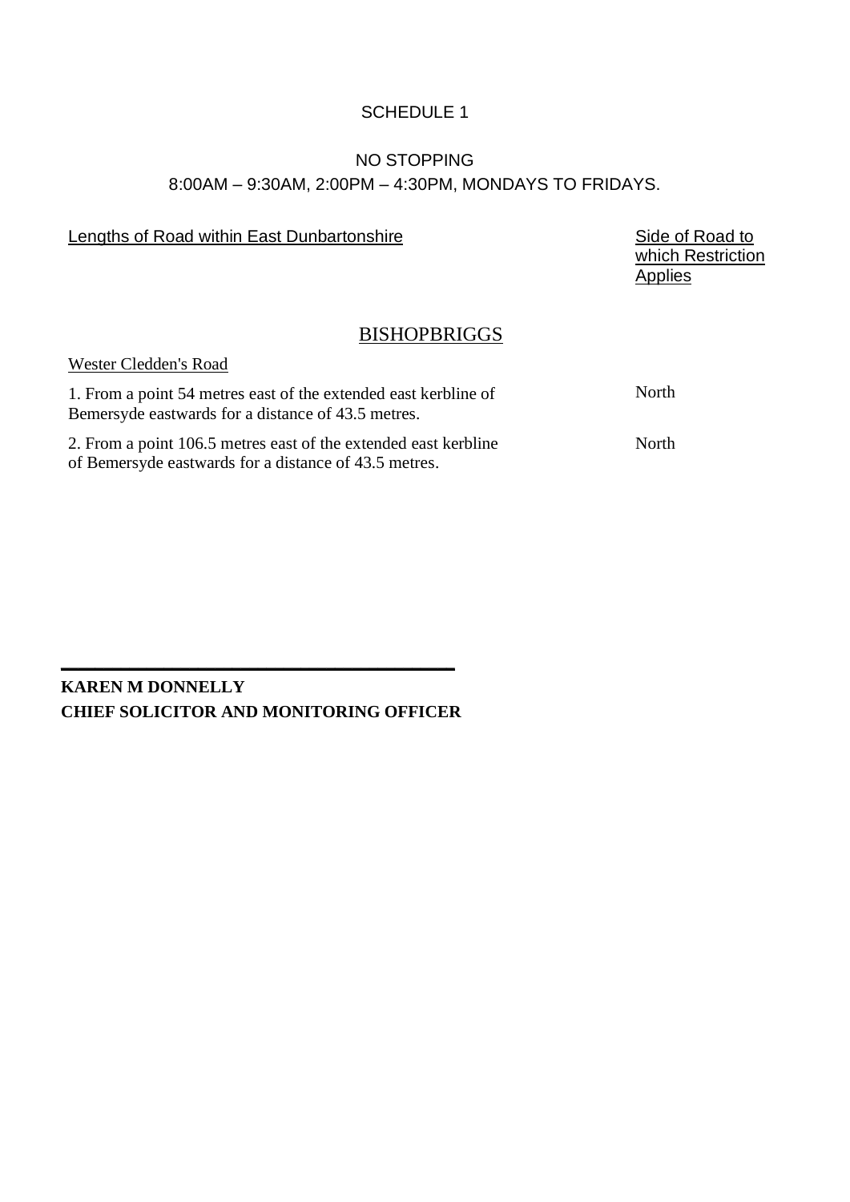## SCHEDULE 1

## NO STOPPING 8:00AM – 9:30AM, 2:00PM – 4:30PM, MONDAYS TO FRIDAYS.

## Lengths of Road within East Dunbartonshire **Side of Road to** Side of Road to

which Restriction **Applies** 

## BISHOPBRIGGS

#### Wester Cledden's Road

| 1. From a point 54 metres east of the extended east kerbline of<br>Bemersyde eastwards for a distance of 43.5 metres.    | North |
|--------------------------------------------------------------------------------------------------------------------------|-------|
| 2. From a point 106.5 metres east of the extended east kerbline<br>of Bemersyde eastwards for a distance of 43.5 metres. | North |

# **KAREN M DONNELLY CHIEF SOLICITOR AND MONITORING OFFICER**

**\_\_\_\_\_\_\_\_\_\_\_\_\_\_\_\_\_\_\_\_\_\_\_\_\_\_\_\_\_\_\_\_\_\_\_\_\_\_\_\_\_\_\_\_\_\_**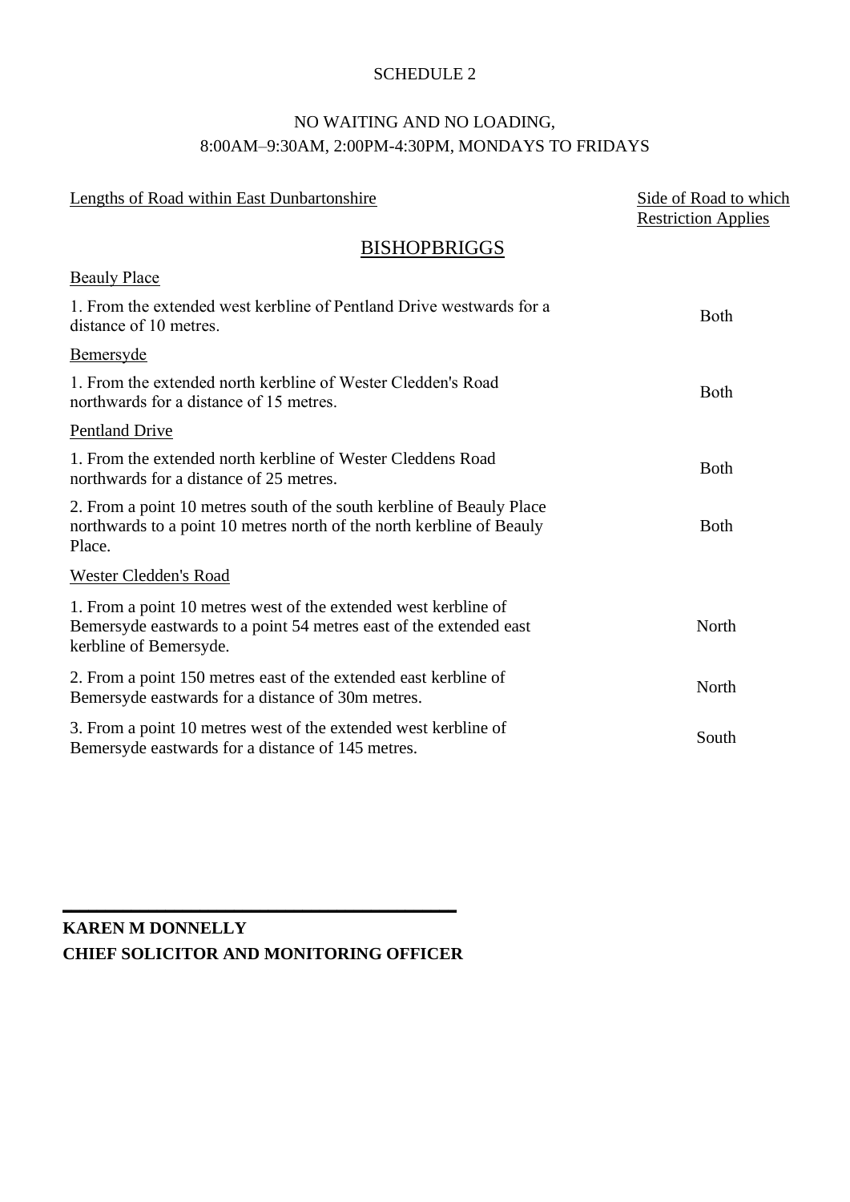#### SCHEDULE 2

# NO WAITING AND NO LOADING, 8:00AM–9:30AM, 2:00PM-4:30PM, MONDAYS TO FRIDAYS

| Lengths of Road within East Dunbartonshire                                                                                                                      | Side of Road to which<br><b>Restriction Applies</b> |
|-----------------------------------------------------------------------------------------------------------------------------------------------------------------|-----------------------------------------------------|
| <b>BISHOPBRIGGS</b>                                                                                                                                             |                                                     |
| <b>Beauly Place</b>                                                                                                                                             |                                                     |
| 1. From the extended west kerbline of Pentland Drive westwards for a<br>distance of 10 metres.                                                                  | <b>Both</b>                                         |
| <b>Bemersyde</b>                                                                                                                                                |                                                     |
| 1. From the extended north kerbline of Wester Cledden's Road<br>northwards for a distance of 15 metres.                                                         | <b>Both</b>                                         |
| <b>Pentland Drive</b>                                                                                                                                           |                                                     |
| 1. From the extended north kerbline of Wester Cleddens Road<br>northwards for a distance of 25 metres.                                                          | <b>B</b> oth                                        |
| 2. From a point 10 metres south of the south kerbline of Beauly Place<br>northwards to a point 10 metres north of the north kerbline of Beauly<br>Place.        | <b>B</b> oth                                        |
| <b>Wester Cledden's Road</b>                                                                                                                                    |                                                     |
| 1. From a point 10 metres west of the extended west kerbline of<br>Bemersyde eastwards to a point 54 metres east of the extended east<br>kerbline of Bemersyde. | North                                               |
| 2. From a point 150 metres east of the extended east kerbline of<br>Bemersyde eastwards for a distance of 30m metres.                                           | North                                               |
| 3. From a point 10 metres west of the extended west kerbline of<br>Bemersyde eastwards for a distance of 145 metres.                                            | South                                               |

# **KAREN M DONNELLY CHIEF SOLICITOR AND MONITORING OFFICER**

**\_\_\_\_\_\_\_\_\_\_\_\_\_\_\_\_\_\_\_\_\_\_\_\_\_\_\_\_\_\_\_\_\_\_\_\_\_\_\_\_\_\_\_\_\_\_**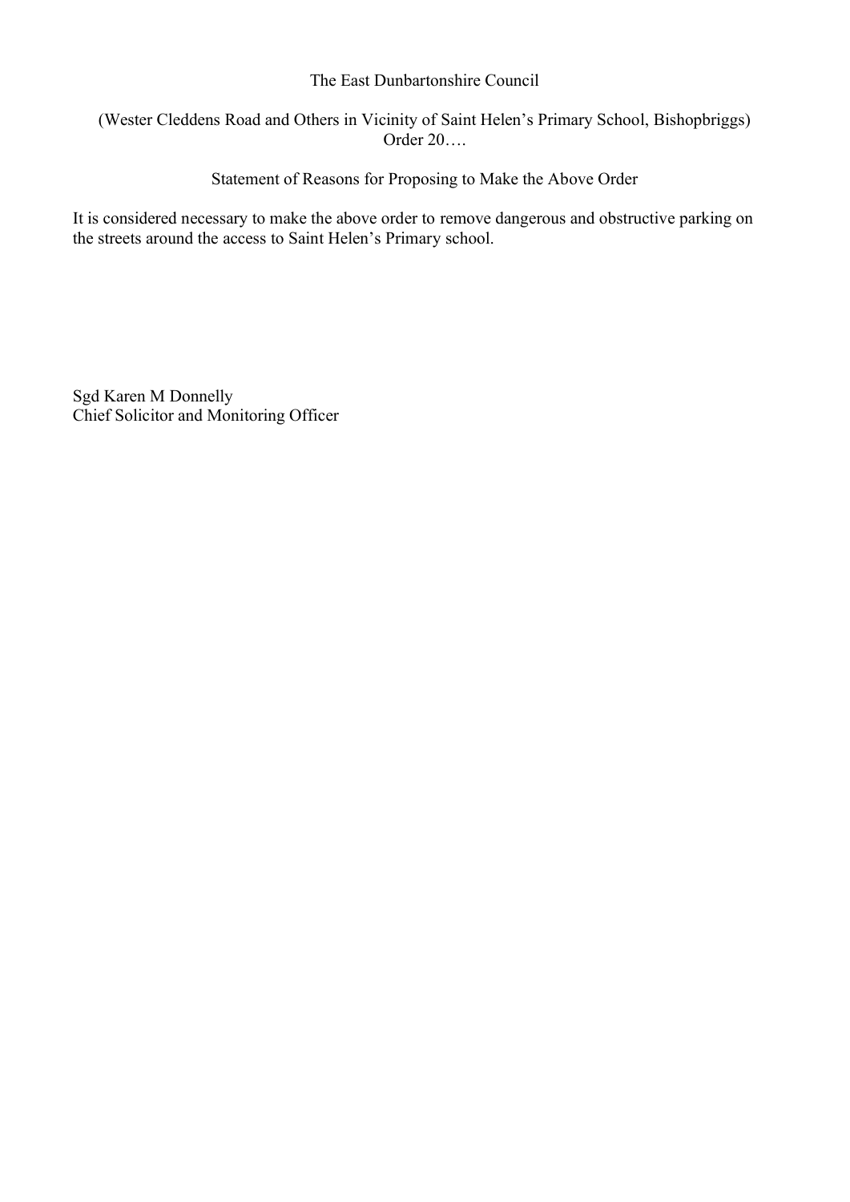#### The East Dunbartonshire Council

## (Wester Cleddens Road and Others in Vicinity of Saint Helen's Primary School, Bishopbriggs) Order 20….

Statement of Reasons for Proposing to Make the Above Order

It is considered necessary to make the above order to remove dangerous and obstructive parking on the streets around the access to Saint Helen's Primary school.

Sgd Karen M Donnelly Chief Solicitor and Monitoring Officer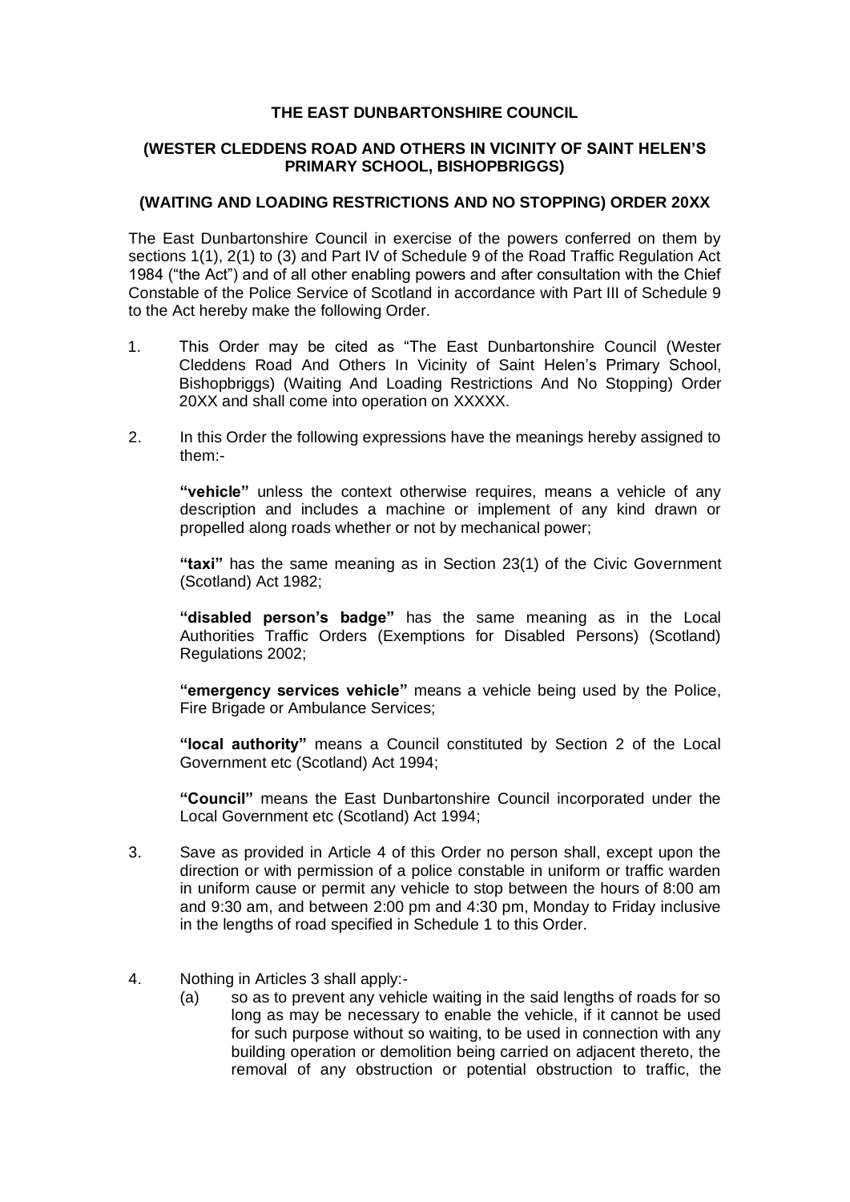#### **THE EAST DUNBARTONSHIRE COUNCIL**

#### **(WESTER CLEDDENS ROAD AND OTHERS IN VICINITY OF SAINT HELEN'S PRIMARY SCHOOL, BISHOPBRIGGS)**

#### **(WAITING AND LOADING RESTRICTIONS AND NO STOPPING) ORDER 20XX**

The East Dunbartonshire Council in exercise of the powers conferred on them by sections 1(1), 2(1) to (3) and Part IV of Schedule 9 of the Road Traffic Regulation Act 1984 ("the Act") and of all other enabling powers and after consultation with the Chief Constable of the Police Service of Scotland in accordance with Part III of Schedule 9 to the Act hereby make the following Order.

- 1. This Order may be cited as "The East Dunbartonshire Council (Wester Cleddens Road And Others In Vicinity of Saint Helen's Primary School, Bishopbriggs) (Waiting And Loading Restrictions And No Stopping) Order 20XX and shall come into operation on XXXXX.
- 2. In this Order the following expressions have the meanings hereby assigned to them:-

**"vehicle"** unless the context otherwise requires, means a vehicle of any description and includes a machine or implement of any kind drawn or propelled along roads whether or not by mechanical power;

**"taxi"** has the same meaning as in Section 23(1) of the Civic Government (Scotland) Act 1982;

**"disabled person's badge"** has the same meaning as in the Local Authorities Traffic Orders (Exemptions for Disabled Persons) (Scotland) Regulations 2002;

**"emergency services vehicle"** means a vehicle being used by the Police, Fire Brigade or Ambulance Services;

**"local authority"** means a Council constituted by Section 2 of the Local Government etc (Scotland) Act 1994;

**"Council"** means the East Dunbartonshire Council incorporated under the Local Government etc (Scotland) Act 1994;

- 3. Save as provided in Article 4 of this Order no person shall, except upon the direction or with permission of a police constable in uniform or traffic warden in uniform cause or permit any vehicle to stop between the hours of 8:00 am and 9:30 am, and between 2:00 pm and 4:30 pm, Monday to Friday inclusive in the lengths of road specified in Schedule 1 to this Order.
- 4. Nothing in Articles 3 shall apply:-
	- (a) so as to prevent any vehicle waiting in the said lengths of roads for so long as may be necessary to enable the vehicle, if it cannot be used for such purpose without so waiting, to be used in connection with any building operation or demolition being carried on adjacent thereto, the removal of any obstruction or potential obstruction to traffic, the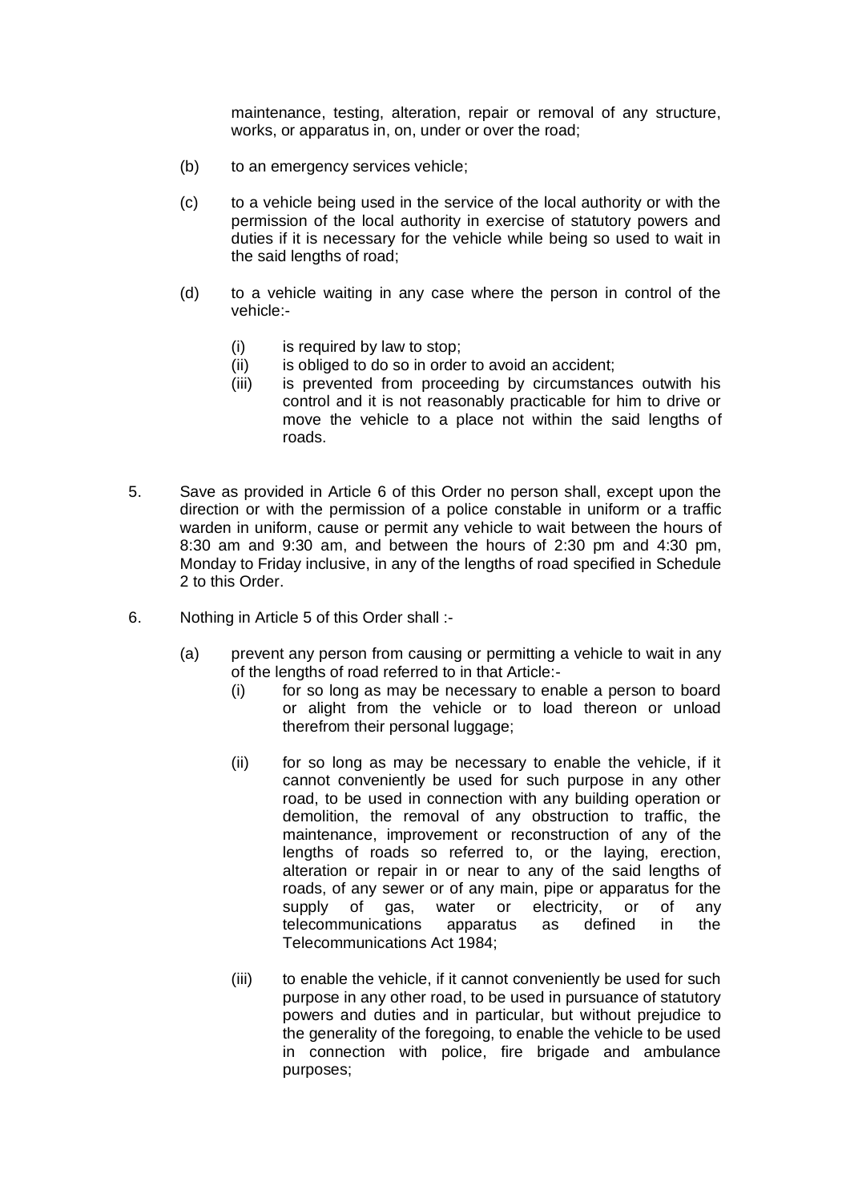maintenance, testing, alteration, repair or removal of any structure, works, or apparatus in, on, under or over the road;

- (b) to an emergency services vehicle;
- (c) to a vehicle being used in the service of the local authority or with the permission of the local authority in exercise of statutory powers and duties if it is necessary for the vehicle while being so used to wait in the said lengths of road;
- (d) to a vehicle waiting in any case where the person in control of the vehicle:-
	- (i) is required by law to stop;
	- (ii) is obliged to do so in order to avoid an accident;
	- (iii) is prevented from proceeding by circumstances outwith his control and it is not reasonably practicable for him to drive or move the vehicle to a place not within the said lengths of roads.
- 5. Save as provided in Article 6 of this Order no person shall, except upon the direction or with the permission of a police constable in uniform or a traffic warden in uniform, cause or permit any vehicle to wait between the hours of 8:30 am and 9:30 am, and between the hours of 2:30 pm and 4:30 pm, Monday to Friday inclusive, in any of the lengths of road specified in Schedule 2 to this Order.
- 6. Nothing in Article 5 of this Order shall :-
	- (a) prevent any person from causing or permitting a vehicle to wait in any of the lengths of road referred to in that Article:-
		- (i) for so long as may be necessary to enable a person to board or alight from the vehicle or to load thereon or unload therefrom their personal luggage;
		- (ii) for so long as may be necessary to enable the vehicle, if it cannot conveniently be used for such purpose in any other road, to be used in connection with any building operation or demolition, the removal of any obstruction to traffic, the maintenance, improvement or reconstruction of any of the lengths of roads so referred to, or the laying, erection, alteration or repair in or near to any of the said lengths of roads, of any sewer or of any main, pipe or apparatus for the supply of gas, water or electricity, or of any telecommunications apparatus as defined in the Telecommunications Act 1984;
		- (iii) to enable the vehicle, if it cannot conveniently be used for such purpose in any other road, to be used in pursuance of statutory powers and duties and in particular, but without prejudice to the generality of the foregoing, to enable the vehicle to be used in connection with police, fire brigade and ambulance purposes;